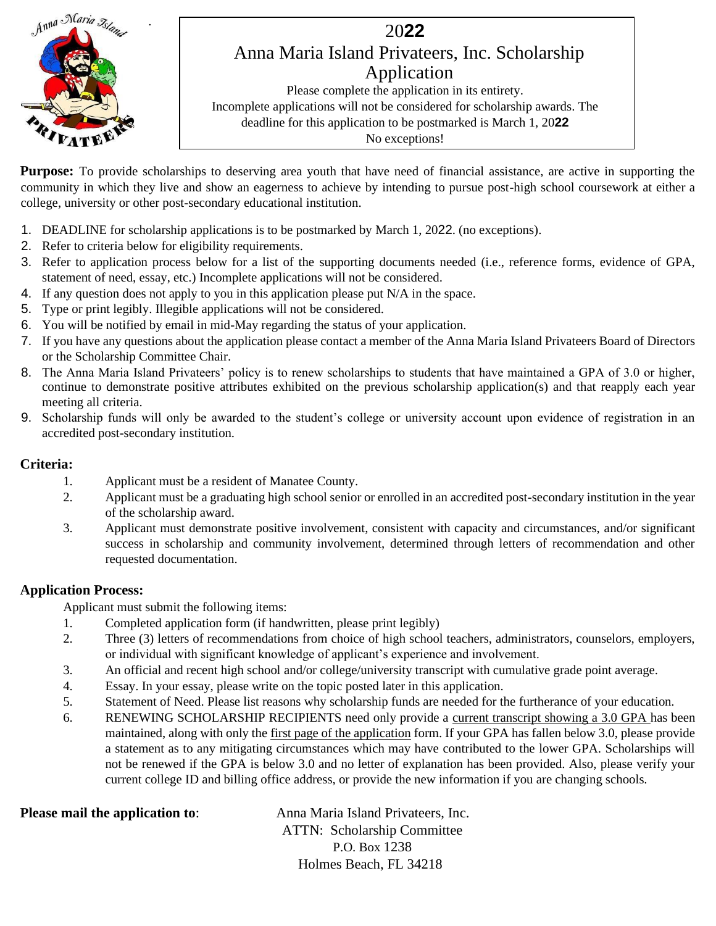

**Purpose:** To provide scholarships to deserving area youth that have need of financial assistance, are active in supporting the community in which they live and show an eagerness to achieve by intending to pursue post-high school coursework at either a college, university or other post-secondary educational institution.

- 1. DEADLINE for scholarship applications is to be postmarked by March 1, 2022. (no exceptions).
- 2. Refer to criteria below for eligibility requirements.
- 3. Refer to application process below for a list of the supporting documents needed (i.e., reference forms, evidence of GPA, statement of need, essay, etc.) Incomplete applications will not be considered.
- 4. If any question does not apply to you in this application please put N/A in the space.
- 5. Type or print legibly. Illegible applications will not be considered.
- 6. You will be notified by email in mid-May regarding the status of your application.
- 7. If you have any questions about the application please contact a member of the Anna Maria Island Privateers Board of Directors or the Scholarship Committee Chair.
- 8. The Anna Maria Island Privateers' policy is to renew scholarships to students that have maintained a GPA of 3.0 or higher, continue to demonstrate positive attributes exhibited on the previous scholarship application(s) and that reapply each year meeting all criteria.
- 9. Scholarship funds will only be awarded to the student's college or university account upon evidence of registration in an accredited post-secondary institution.

#### **Criteria:**

- 1. Applicant must be a resident of Manatee County.
- 2. Applicant must be a graduating high school senior or enrolled in an accredited post-secondary institution in the year of the scholarship award.
- 3. Applicant must demonstrate positive involvement, consistent with capacity and circumstances, and/or significant success in scholarship and community involvement, determined through letters of recommendation and other requested documentation.

#### **Application Process:**

Applicant must submit the following items:

- 1. Completed application form (if handwritten, please print legibly)
- 2. Three (3) letters of recommendations from choice of high school teachers, administrators, counselors, employers, or individual with significant knowledge of applicant's experience and involvement.
- 3. An official and recent high school and/or college/university transcript with cumulative grade point average.
- 4. Essay. In your essay, please write on the topic posted later in this application.
- 5. Statement of Need. Please list reasons why scholarship funds are needed for the furtherance of your education.
- 6. RENEWING SCHOLARSHIP RECIPIENTS need only provide a current transcript showing a 3.0 GPA has been maintained, along with only the first page of the application form. If your GPA has fallen below 3.0, please provide a statement as to any mitigating circumstances which may have contributed to the lower GPA. Scholarships will not be renewed if the GPA is below 3.0 and no letter of explanation has been provided. Also, please verify your current college ID and billing office address, or provide the new information if you are changing schools.

**Please mail the application to:** Anna Maria Island Privateers, Inc. ATTN: Scholarship Committee P.O. Box 1238 Holmes Beach, FL 34218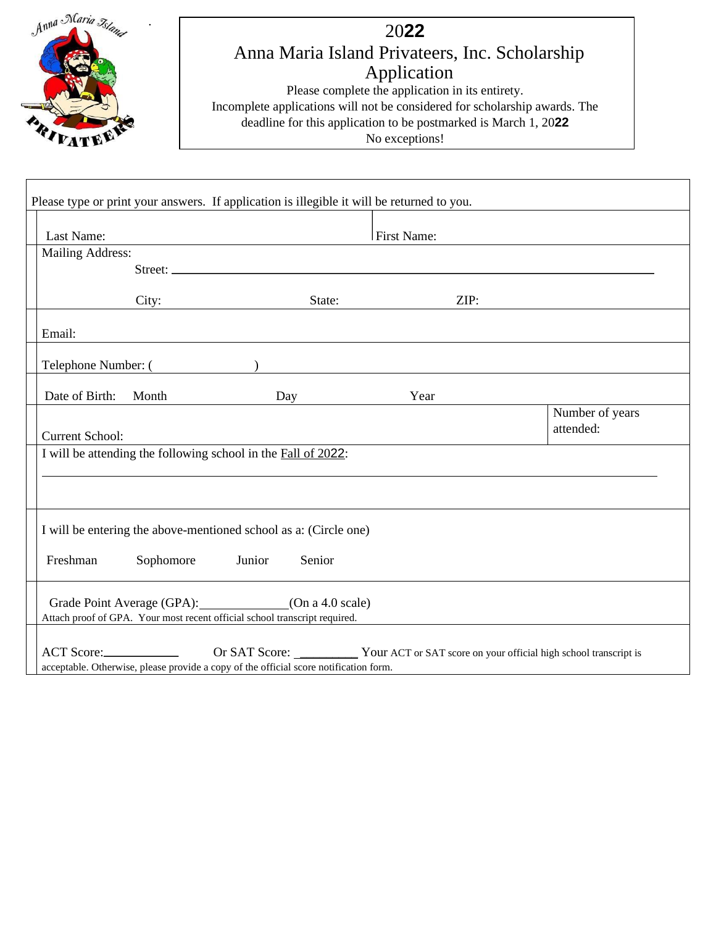

| Last Name:<br><b>Mailing Address:</b>                                      |        | <b>First Name:</b> |      |                 |
|----------------------------------------------------------------------------|--------|--------------------|------|-----------------|
| Street:                                                                    |        |                    |      |                 |
|                                                                            |        |                    |      |                 |
| City:                                                                      |        | State:             | ZIP: |                 |
| Email:                                                                     |        |                    |      |                 |
| Telephone Number: ( )                                                      |        |                    |      |                 |
|                                                                            |        |                    |      |                 |
| Date of Birth: Month Day                                                   |        | Year               |      | Number of years |
|                                                                            |        |                    |      | attended:       |
| <b>Current School:</b>                                                     |        |                    |      |                 |
| I will be attending the following school in the Fall of 2022:              |        |                    |      |                 |
|                                                                            |        |                    |      |                 |
|                                                                            |        |                    |      |                 |
|                                                                            |        |                    |      |                 |
| I will be entering the above-mentioned school as a: (Circle one)           |        |                    |      |                 |
| Sophomore Junior<br>Freshman                                               | Senior |                    |      |                 |
|                                                                            |        |                    |      |                 |
| Grade Point Average (GPA): (On a 4.0 scale)                                |        |                    |      |                 |
| Attach proof of GPA. Your most recent official school transcript required. |        |                    |      |                 |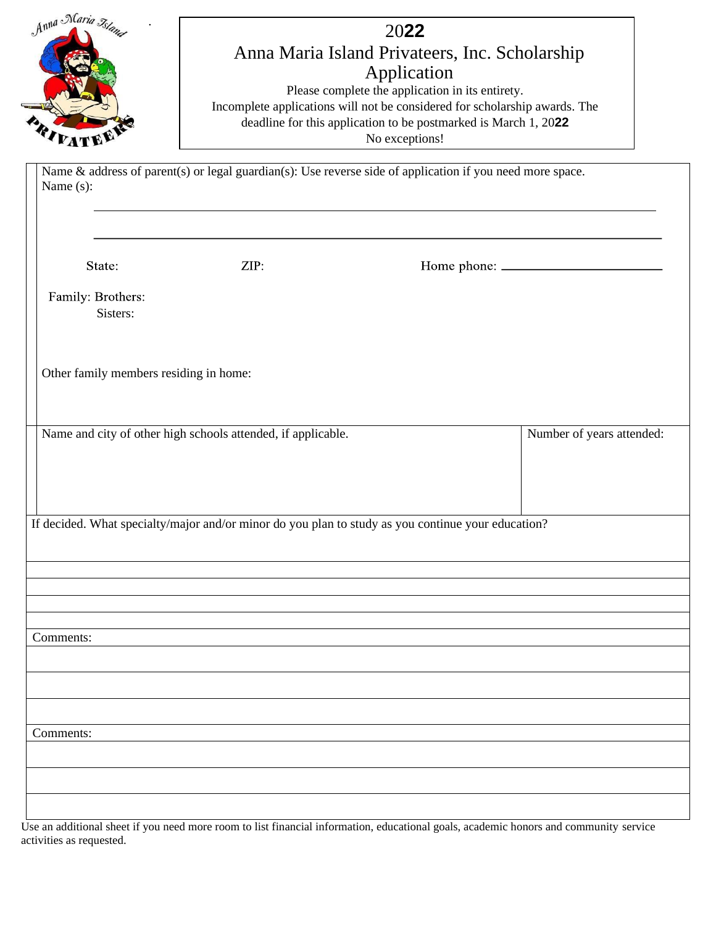| Anna Naria Islan<br>2022<br>Anna Maria Island Privateers, Inc. Scholarship<br>Application<br>Please complete the application in its entirety.<br>Incomplete applications will not be considered for scholarship awards. The<br>deadline for this application to be postmarked is March 1, 2022<br>No exceptions!<br>Name & address of parent(s) or legal guardian(s): Use reverse side of application if you need more space. |                                                              |                                                                                                    |                           |
|-------------------------------------------------------------------------------------------------------------------------------------------------------------------------------------------------------------------------------------------------------------------------------------------------------------------------------------------------------------------------------------------------------------------------------|--------------------------------------------------------------|----------------------------------------------------------------------------------------------------|---------------------------|
| Name (s):                                                                                                                                                                                                                                                                                                                                                                                                                     |                                                              |                                                                                                    |                           |
| State:<br>Family: Brothers:<br>Sisters:                                                                                                                                                                                                                                                                                                                                                                                       | ZIP:                                                         |                                                                                                    |                           |
| Other family members residing in home:                                                                                                                                                                                                                                                                                                                                                                                        |                                                              |                                                                                                    |                           |
|                                                                                                                                                                                                                                                                                                                                                                                                                               | Name and city of other high schools attended, if applicable. |                                                                                                    | Number of years attended: |
|                                                                                                                                                                                                                                                                                                                                                                                                                               |                                                              | If decided. What specialty/major and/or minor do you plan to study as you continue your education? |                           |
| Comments:                                                                                                                                                                                                                                                                                                                                                                                                                     |                                                              |                                                                                                    |                           |
| Comments:                                                                                                                                                                                                                                                                                                                                                                                                                     |                                                              |                                                                                                    |                           |
|                                                                                                                                                                                                                                                                                                                                                                                                                               |                                                              |                                                                                                    |                           |

Use an additional sheet if you need more room to list financial information, educational goals, academic honors and community service activities as requested.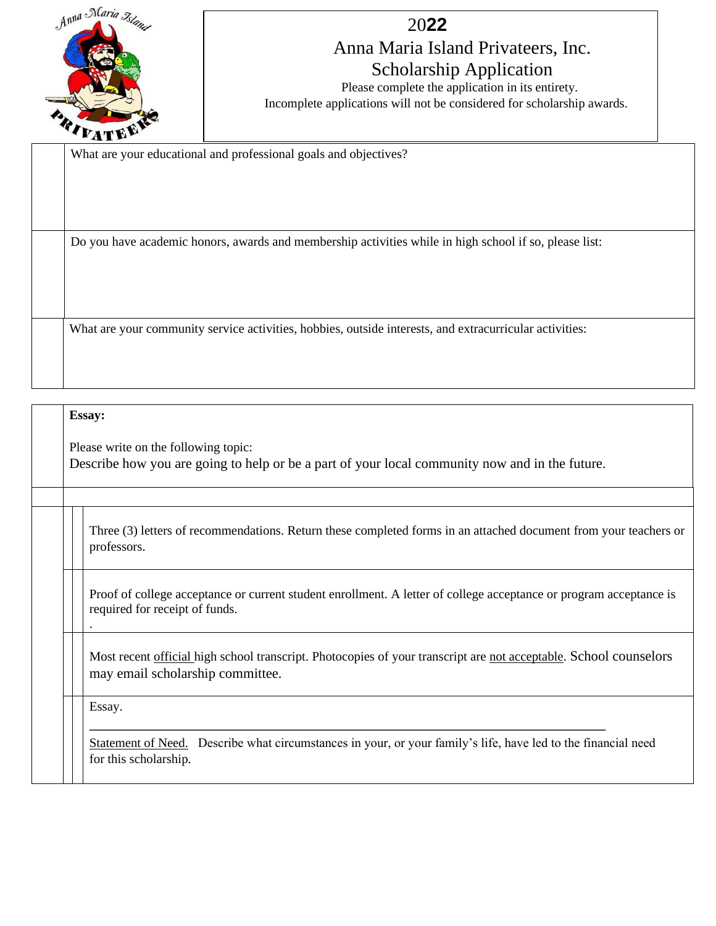

## 20**22**

## Anna Maria Island Privateers, Inc. Scholarship Application

Please complete the application in its entirety. Incomplete applications will not be considered for scholarship awards.

What are your educational and professional goals and objectives?

Do you have academic honors, awards and membership activities while in high school if so, please list:

What are your community service activities, hobbies, outside interests, and extracurricular activities:

| <b>Essay:</b> |                                                                                                                                                       |  |  |
|---------------|-------------------------------------------------------------------------------------------------------------------------------------------------------|--|--|
|               | Please write on the following topic:<br>Describe how you are going to help or be a part of your local community now and in the future.                |  |  |
|               |                                                                                                                                                       |  |  |
|               | Three (3) letters of recommendations. Return these completed forms in an attached document from your teachers or<br>professors.                       |  |  |
|               | Proof of college acceptance or current student enrollment. A letter of college acceptance or program acceptance is<br>required for receipt of funds.  |  |  |
|               | Most recent official high school transcript. Photocopies of your transcript are not acceptable. School counselors<br>may email scholarship committee. |  |  |
| Essay.        |                                                                                                                                                       |  |  |
|               | Statement of Need. Describe what circumstances in your, or your family's life, have led to the financial need<br>for this scholarship.                |  |  |